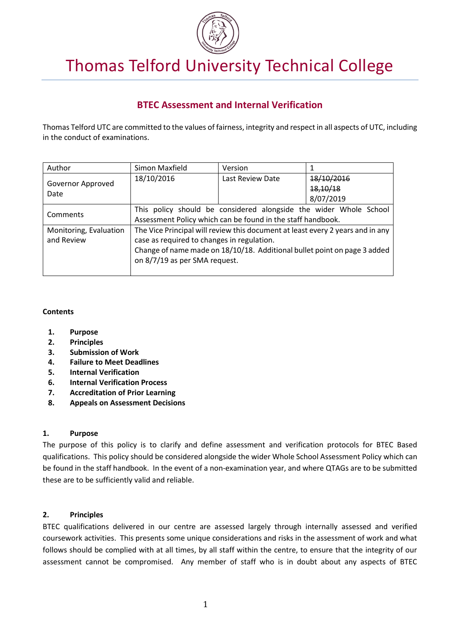

# Thomas Telford University Technical College

# **BTEC Assessment and Internal Verification**

Thomas Telford UTC are committed to the values of fairness, integrity and respect in all aspects of UTC, including in the conduct of examinations.

| Author                               | Simon Maxfield                                                                                                                                                                                                                            | Version          |                                     |
|--------------------------------------|-------------------------------------------------------------------------------------------------------------------------------------------------------------------------------------------------------------------------------------------|------------------|-------------------------------------|
| Governor Approved<br>Date            | 18/10/2016                                                                                                                                                                                                                                | Last Review Date | 18/10/2016<br>18,10/18<br>8/07/2019 |
| Comments                             | This policy should be considered alongside the wider Whole School<br>Assessment Policy which can be found in the staff handbook.                                                                                                          |                  |                                     |
| Monitoring, Evaluation<br>and Review | The Vice Principal will review this document at least every 2 years and in any<br>case as required to changes in regulation.<br>Change of name made on 18/10/18. Additional bullet point on page 3 added<br>on 8/7/19 as per SMA request. |                  |                                     |

#### **Contents**

- **1. Purpose**
- **2. Principles**
- **3. Submission of Work**
- **4. Failure to Meet Deadlines**
- **5. Internal Verification**
- **6. Internal Verification Process**
- **7. Accreditation of Prior Learning**
- **8. Appeals on Assessment Decisions**

#### **1. Purpose**

The purpose of this policy is to clarify and define assessment and verification protocols for BTEC Based qualifications. This policy should be considered alongside the wider Whole School Assessment Policy which can be found in the staff handbook. In the event of a non-examination year, and where QTAGs are to be submitted these are to be sufficiently valid and reliable.

# **2. Principles**

BTEC qualifications delivered in our centre are assessed largely through internally assessed and verified coursework activities. This presents some unique considerations and risks in the assessment of work and what follows should be complied with at all times, by all staff within the centre, to ensure that the integrity of our assessment cannot be compromised. Any member of staff who is in doubt about any aspects of BTEC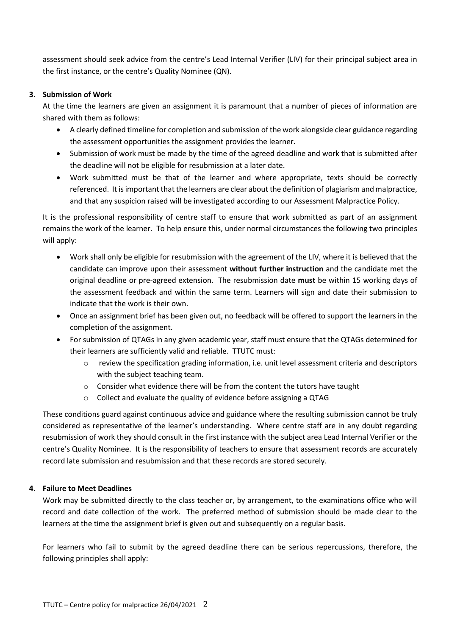assessment should seek advice from the centre's Lead Internal Verifier (LIV) for their principal subject area in the first instance, or the centre's Quality Nominee (QN).

#### **3. Submission of Work**

At the time the learners are given an assignment it is paramount that a number of pieces of information are shared with them as follows:

- A clearly defined timeline for completion and submission of the work alongside clear guidance regarding the assessment opportunities the assignment provides the learner.
- Submission of work must be made by the time of the agreed deadline and work that is submitted after the deadline will not be eligible for resubmission at a later date.
- Work submitted must be that of the learner and where appropriate, texts should be correctly referenced. It is important that the learners are clear about the definition of plagiarism and malpractice, and that any suspicion raised will be investigated according to our Assessment Malpractice Policy.

It is the professional responsibility of centre staff to ensure that work submitted as part of an assignment remains the work of the learner. To help ensure this, under normal circumstances the following two principles will apply:

- Work shall only be eligible for resubmission with the agreement of the LIV, where it is believed that the candidate can improve upon their assessment **without further instruction** and the candidate met the original deadline or pre-agreed extension. The resubmission date **must** be within 15 working days of the assessment feedback and within the same term. Learners will sign and date their submission to indicate that the work is their own.
- Once an assignment brief has been given out, no feedback will be offered to support the learners in the completion of the assignment.
- For submission of QTAGs in any given academic year, staff must ensure that the QTAGs determined for their learners are sufficiently valid and reliable. TTUTC must:
	- o review the specification grading information, i.e. unit level assessment criteria and descriptors with the subject teaching team.
	- $\circ$  Consider what evidence there will be from the content the tutors have taught
	- o Collect and evaluate the quality of evidence before assigning a QTAG

These conditions guard against continuous advice and guidance where the resulting submission cannot be truly considered as representative of the learner's understanding. Where centre staff are in any doubt regarding resubmission of work they should consult in the first instance with the subject area Lead Internal Verifier or the centre's Quality Nominee. It is the responsibility of teachers to ensure that assessment records are accurately record late submission and resubmission and that these records are stored securely.

# **4. Failure to Meet Deadlines**

Work may be submitted directly to the class teacher or, by arrangement, to the examinations office who will record and date collection of the work. The preferred method of submission should be made clear to the learners at the time the assignment brief is given out and subsequently on a regular basis.

For learners who fail to submit by the agreed deadline there can be serious repercussions, therefore, the following principles shall apply: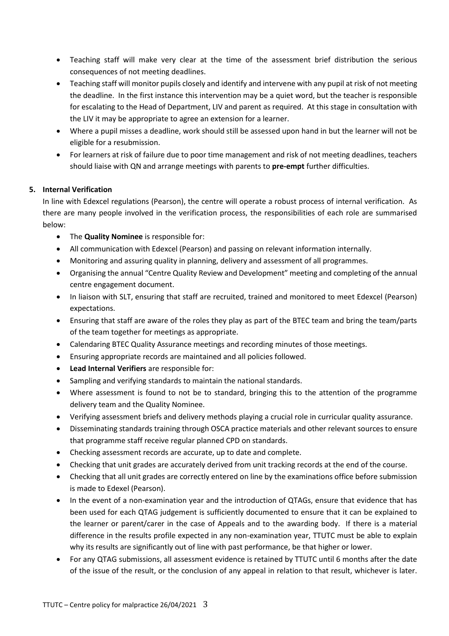- Teaching staff will make very clear at the time of the assessment brief distribution the serious consequences of not meeting deadlines.
- Teaching staff will monitor pupils closely and identify and intervene with any pupil at risk of not meeting the deadline. In the first instance this intervention may be a quiet word, but the teacher is responsible for escalating to the Head of Department, LIV and parent as required. At this stage in consultation with the LIV it may be appropriate to agree an extension for a learner.
- Where a pupil misses a deadline, work should still be assessed upon hand in but the learner will not be eligible for a resubmission.
- For learners at risk of failure due to poor time management and risk of not meeting deadlines, teachers should liaise with QN and arrange meetings with parents to **pre-empt** further difficulties.

# **5. Internal Verification**

In line with Edexcel regulations (Pearson), the centre will operate a robust process of internal verification. As there are many people involved in the verification process, the responsibilities of each role are summarised below:

- The **Quality Nominee** is responsible for:
- All communication with Edexcel (Pearson) and passing on relevant information internally.
- Monitoring and assuring quality in planning, delivery and assessment of all programmes.
- Organising the annual "Centre Quality Review and Development" meeting and completing of the annual centre engagement document.
- In liaison with SLT, ensuring that staff are recruited, trained and monitored to meet Edexcel (Pearson) expectations.
- Ensuring that staff are aware of the roles they play as part of the BTEC team and bring the team/parts of the team together for meetings as appropriate.
- Calendaring BTEC Quality Assurance meetings and recording minutes of those meetings.
- Ensuring appropriate records are maintained and all policies followed.
- **Lead Internal Verifiers** are responsible for:
- Sampling and verifying standards to maintain the national standards.
- Where assessment is found to not be to standard, bringing this to the attention of the programme delivery team and the Quality Nominee.
- Verifying assessment briefs and delivery methods playing a crucial role in curricular quality assurance.
- Disseminating standards training through OSCA practice materials and other relevant sources to ensure that programme staff receive regular planned CPD on standards.
- Checking assessment records are accurate, up to date and complete.
- Checking that unit grades are accurately derived from unit tracking records at the end of the course.
- Checking that all unit grades are correctly entered on line by the examinations office before submission is made to Edexel (Pearson).
- In the event of a non-examination year and the introduction of QTAGs, ensure that evidence that has been used for each QTAG judgement is sufficiently documented to ensure that it can be explained to the learner or parent/carer in the case of Appeals and to the awarding body. If there is a material difference in the results profile expected in any non-examination year, TTUTC must be able to explain why its results are significantly out of line with past performance, be that higher or lower.
- For any QTAG submissions, all assessment evidence is retained by TTUTC until 6 months after the date of the issue of the result, or the conclusion of any appeal in relation to that result, whichever is later.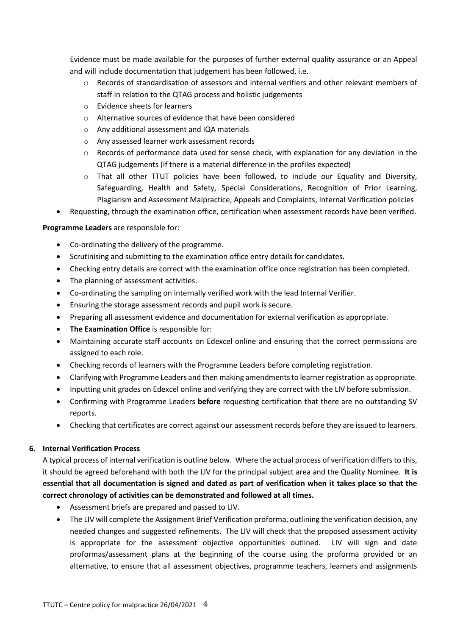Evidence must be made available for the purposes of further external quality assurance or an Appeal and will include documentation that judgement has been followed, i.e.

- o Records of standardisation of assessors and internal verifiers and other relevant members of staff in relation to the QTAG process and holistic judgements
- o Evidence sheets for learners
- o Alternative sources of evidence that have been considered
- o Any additional assessment and IQA materials
- o Any assessed learner work assessment records
- o Records of performance data used for sense check, with explanation for any deviation in the QTAG judgements (if there is a material difference in the profiles expected)
- o That all other TTUT policies have been followed, to include our Equality and Diversity, Safeguarding, Health and Safety, Special Considerations, Recognition of Prior Learning, Plagiarism and Assessment Malpractice, Appeals and Complaints, Internal Verification policies
- Requesting, through the examination office, certification when assessment records have been verified.

#### **Programme Leaders** are responsible for:

- Co-ordinating the delivery of the programme.
- Scrutinising and submitting to the examination office entry details for candidates.
- Checking entry details are correct with the examination office once registration has been completed.
- The planning of assessment activities.
- Co-ordinating the sampling on internally verified work with the lead Internal Verifier.
- Ensuring the storage assessment records and pupil work is secure.
- Preparing all assessment evidence and documentation for external verification as appropriate.
- **The Examination Office** is responsible for:
- Maintaining accurate staff accounts on Edexcel online and ensuring that the correct permissions are assigned to each role.
- Checking records of learners with the Programme Leaders before completing registration.
- Clarifying with Programme Leaders and then making amendments to learner registration as appropriate.
- Inputting unit grades on Edexcel online and verifying they are correct with the LIV before submission.
- Confirming with Programme Leaders **before** requesting certification that there are no outstanding SV reports.
- Checking that certificates are correct against our assessment records before they are issued to learners.

#### **6. Internal Verification Process**

A typical process of internal verification is outline below. Where the actual process of verification differs to this, it should be agreed beforehand with both the LIV for the principal subject area and the Quality Nominee. **It is essential that all documentation is signed and dated as part of verification when it takes place so that the correct chronology of activities can be demonstrated and followed at all times.** 

- Assessment briefs are prepared and passed to LIV.
- The LIV will complete the Assignment Brief Verification proforma, outlining the verification decision, any needed changes and suggested refinements. The LIV will check that the proposed assessment activity is appropriate for the assessment objective opportunities outlined. LIV will sign and date proformas/assessment plans at the beginning of the course using the proforma provided or an alternative, to ensure that all assessment objectives, programme teachers, learners and assignments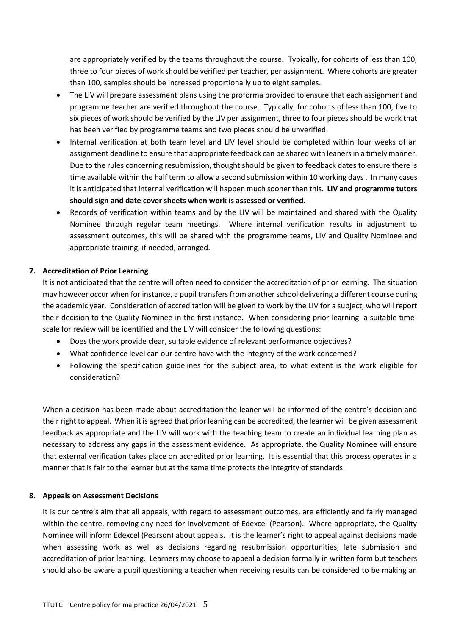are appropriately verified by the teams throughout the course. Typically, for cohorts of less than 100, three to four pieces of work should be verified per teacher, per assignment. Where cohorts are greater than 100, samples should be increased proportionally up to eight samples.

- The LIV will prepare assessment plans using the proforma provided to ensure that each assignment and programme teacher are verified throughout the course. Typically, for cohorts of less than 100, five to six pieces of work should be verified by the LIV per assignment, three to four pieces should be work that has been verified by programme teams and two pieces should be unverified.
- Internal verification at both team level and LIV level should be completed within four weeks of an assignment deadline to ensure that appropriate feedback can be shared with leaners in a timely manner. Due to the rules concerning resubmission, thought should be given to feedback dates to ensure there is time available within the half term to allow a second submission within 10 working days . In many cases it is anticipated that internal verification will happen much sooner than this. **LIV and programme tutors should sign and date cover sheets when work is assessed or verified.**
- Records of verification within teams and by the LIV will be maintained and shared with the Quality Nominee through regular team meetings. Where internal verification results in adjustment to assessment outcomes, this will be shared with the programme teams, LIV and Quality Nominee and appropriate training, if needed, arranged.

# **7. Accreditation of Prior Learning**

It is not anticipated that the centre will often need to consider the accreditation of prior learning. The situation may however occur when for instance, a pupil transfers from another school delivering a different course during the academic year. Consideration of accreditation will be given to work by the LIV for a subject, who will report their decision to the Quality Nominee in the first instance. When considering prior learning, a suitable timescale for review will be identified and the LIV will consider the following questions:

- Does the work provide clear, suitable evidence of relevant performance objectives?
- What confidence level can our centre have with the integrity of the work concerned?
- Following the specification guidelines for the subject area, to what extent is the work eligible for consideration?

When a decision has been made about accreditation the leaner will be informed of the centre's decision and their right to appeal. When it is agreed that prior leaning can be accredited, the learner will be given assessment feedback as appropriate and the LIV will work with the teaching team to create an individual learning plan as necessary to address any gaps in the assessment evidence. As appropriate, the Quality Nominee will ensure that external verification takes place on accredited prior learning. It is essential that this process operates in a manner that is fair to the learner but at the same time protects the integrity of standards.

#### **8. Appeals on Assessment Decisions**

It is our centre's aim that all appeals, with regard to assessment outcomes, are efficiently and fairly managed within the centre, removing any need for involvement of Edexcel (Pearson). Where appropriate, the Quality Nominee will inform Edexcel (Pearson) about appeals. It is the learner's right to appeal against decisions made when assessing work as well as decisions regarding resubmission opportunities, late submission and accreditation of prior learning. Learners may choose to appeal a decision formally in written form but teachers should also be aware a pupil questioning a teacher when receiving results can be considered to be making an